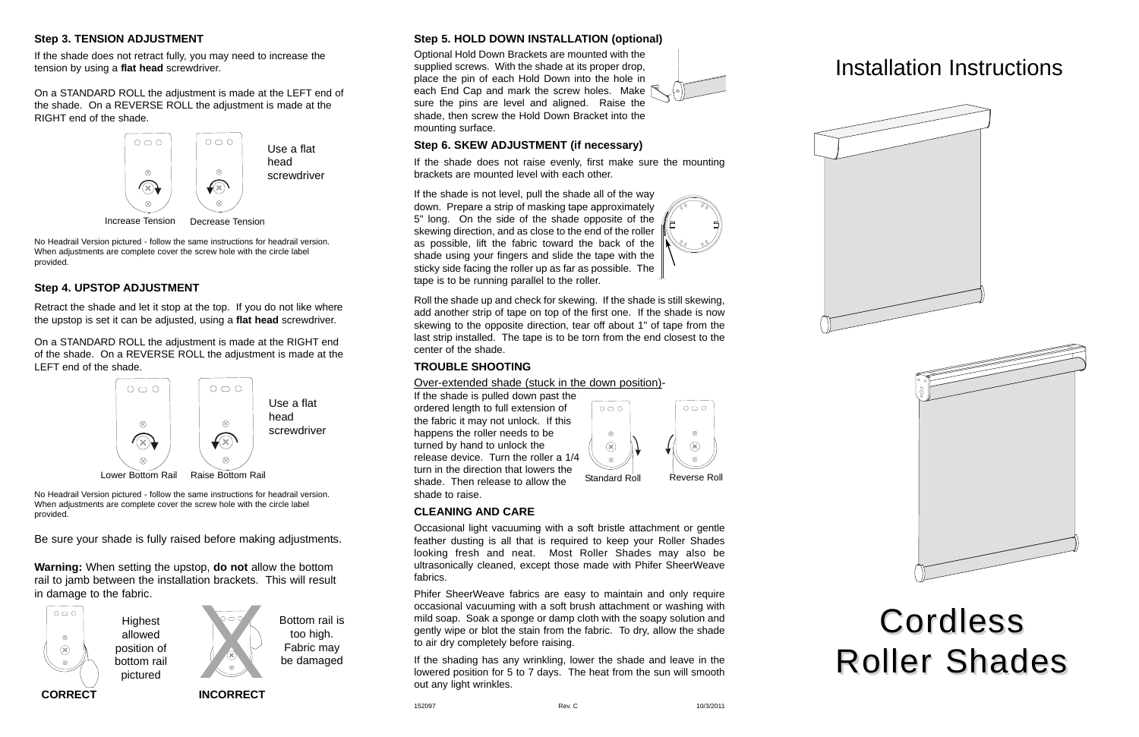### **Step 3. TENSION ADJUSTMENT**

If the shade does not retract fully, you may need to increase the tension by using a **flat head** screwdriver.

On a STANDARD ROLL the adjustment is made at the LEFT end of the shade. On a REVERSE ROLL the adjustment is made at the RIGHT end of the shade.

# **Step 4. UPSTOP ADJUSTMENT**

Retract the shade and let it stop at the top. If you do not like where the upstop is set it can be adjusted, using a **flat head** screwdriver.

On a STANDARD ROLL the adjustment is made at the RIGHT end of the shade. On a REVERSE ROLL the adjustment is made at the LEFT end of the shade.

**Warning:** When setting the upstop, **do not** allow the bottom rail to jamb between the installation brackets. This will result in damage to the fabric.

**Step 5. HOLD DOWN INSTALLATION (optional)**

Optional Hold Down Brackets are mounted with the supplied screws. With the shade at its proper drop, place the pin of each Hold Down into the hole in each End Cap and mark the screw holes. Make  $\mathbb{R}$ sure the pins are level and aligned. Raise the shade, then screw the Hold Down Bracket into the mounting surface.

## **Step 6. SKEW ADJUSTMENT (if necessary)**

If the shade does not raise evenly, first make sure the mounting brackets are mounted level with each other.

If the shade is not level, pull the shade all of the way down. Prepare a strip of masking tape approximately 5" long. On the side of the shade opposite of the skewing direction, and as close to the end of the roller as possible, lift the fabric toward the back of the shade using your fingers and slide the tape with the sticky side facing the roller up as far as possible. The tape is to be running parallel to the roller.



Roll the shade up and check for skewing. If the shade is still skewing, add another strip of tape on top of the first one. If the shade is now skewing to the opposite direction, tear off about 1" of tape from the last strip installed. The tape is to be torn from the end closest to the center of the shade.

## **TROUBLE SHOOTING**

Over-extended shade (stuck in the down position)-

If the shade is pulled down past the ordered length to full extension of the fabric it may not unlock. If this happens the roller needs to be turned by hand to unlock the release device. Turn the roller a 1/4 turn in the direction that lowers the Lower Bottom Rail Raise Bottom Rail **Network Communist Communist Communist Communist Communist Communist Communi**<br>Standard Roll Reverse Roll Reverse Roll Reverse Roll Reverse Roll Reverse Roll Reverse Roll Reverse Roll Rev shade to raise.



 $\otimes$ 

 $(\times)$ 

# **CLEANING AND CARE**

Occasional light vacuuming with a soft bristle attachment or gentle feather dusting is all that is required to keep your Roller Shades looking fresh and neat. Most Roller Shades may also be ultrasonically cleaned, except those made with Phifer SheerWeave fabrics.

Phifer SheerWeave fabrics are easy to maintain and only require occasional vacuuming with a soft brush attachment or washing with mild soap. Soak a sponge or damp cloth with the soapy solution and gently wipe or blot the stain from the fabric. To dry, allow the shade to air dry completely before raising.

If the shading has any wrinkling, lower the shade and leave in the lowered position for 5 to 7 days. The heat from the sun will smooth out any light wrinkles.

# Installation Instructions







Be sure your shade is fully raised before making adjustments.

No Headrail Version pictured - follow the same instructions for headrail version. When adjustments are complete cover the screw hole with the circle label provided.

No Headrail Version pictured - follow the same instructions for headrail version. When adjustments are complete cover the screw hole with the circle label provided.



**CORRECT INCORRECT**